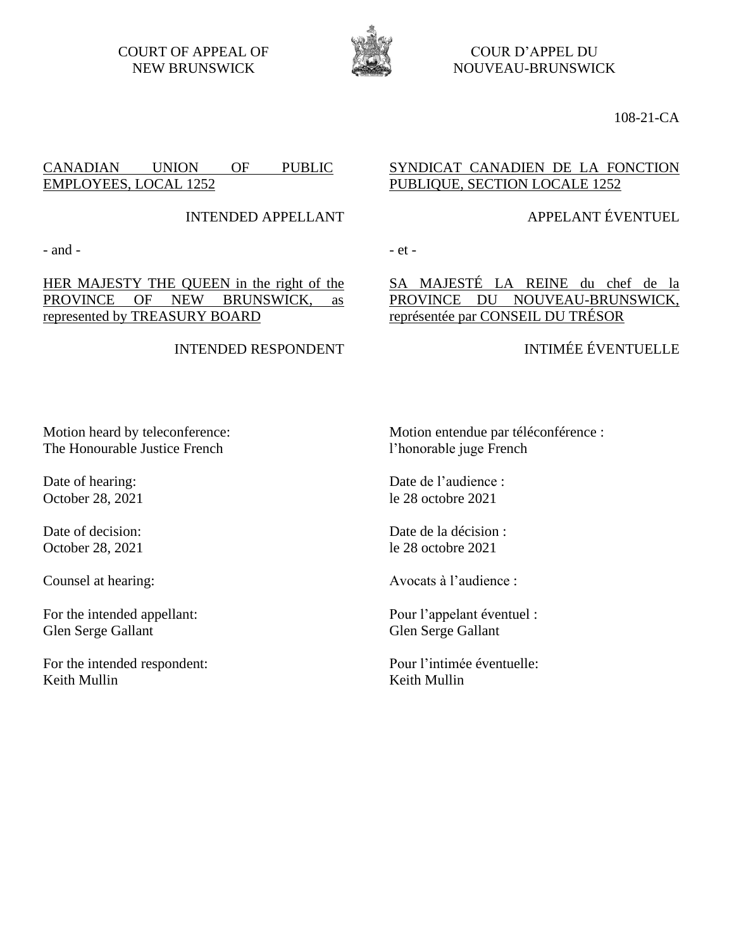COURT OF APPEAL OF NEW BRUNSWICK



COUR D'APPEL DU NOUVEAU-BRUNSWICK

108-21-CA

## CANADIAN UNION OF PUBLIC EMPLOYEES, LOCAL 1252

INTENDED APPELLANT

 $-$  and  $-$ 

HER MAJESTY THE QUEEN in the right of the PROVINCE OF NEW BRUNSWICK, as represented by TREASURY BOARD

### INTENDED RESPONDENT

#### Motion entendue par téléconférence : l'honorable juge French

Date de l'audience : le 28 octobre 2021

Date de la décision : le 28 octobre 2021

Avocats à l'audience :

Pour l'appelant éventuel : Glen Serge Gallant

Pour l'intimée éventuelle: Keith Mullin

Motion heard by teleconference: The Honourable Justice French

Date of hearing: October 28, 2021

Date of decision: October 28, 2021

Counsel at hearing:

For the intended appellant: Glen Serge Gallant

For the intended respondent: Keith Mullin

## SYNDICAT CANADIEN DE LA FONCTION PUBLIQUE, SECTION LOCALE 1252

## APPELANT ÉVENTUEL

## SA MAJESTÉ LA REINE du chef de la PROVINCE DU NOUVEAU-BRUNSWICK, représentée par CONSEIL DU TRÉSOR

# INTIMÉE ÉVENTUELLE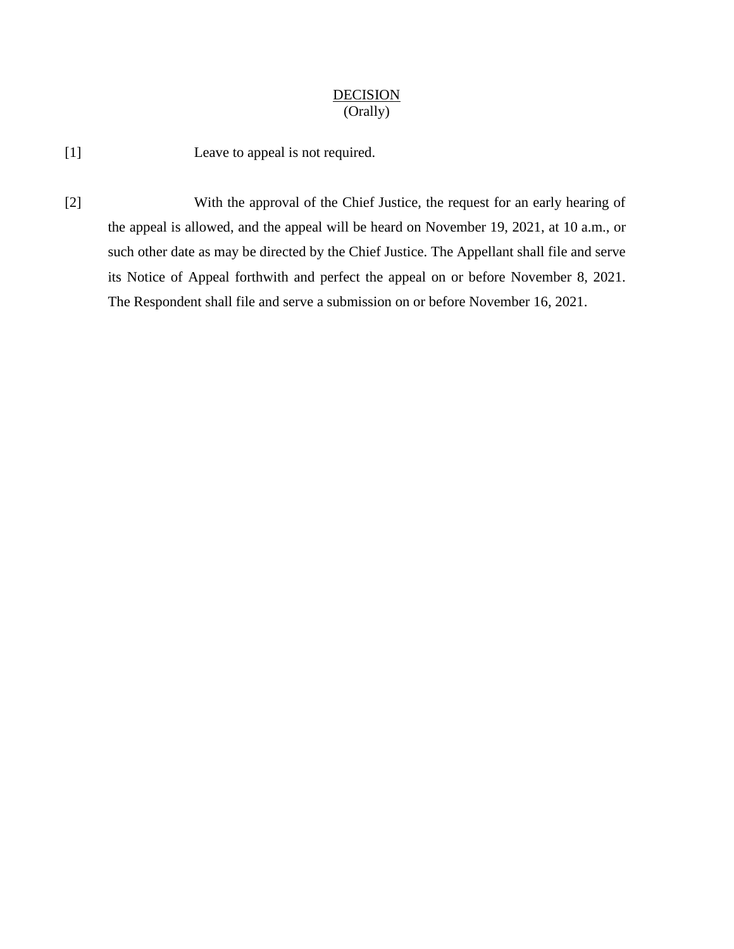#### **DECISION** (Orally)

[1] Leave to appeal is not required.

[2] With the approval of the Chief Justice, the request for an early hearing of the appeal is allowed, and the appeal will be heard on November 19, 2021, at 10 a.m., or such other date as may be directed by the Chief Justice. The Appellant shall file and serve its Notice of Appeal forthwith and perfect the appeal on or before November 8, 2021. The Respondent shall file and serve a submission on or before November 16, 2021.